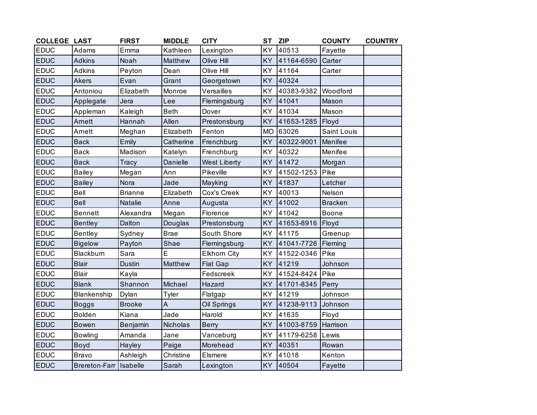| <b>COLLEGE LAST</b> |                        | <b>FIRST</b>   | <b>MIDDLE</b> | <b>CITY</b>         | <b>ST</b> | <b>ZIP</b>         | <b>COUNTY</b>  | <b>COUNTRY</b> |
|---------------------|------------------------|----------------|---------------|---------------------|-----------|--------------------|----------------|----------------|
| <b>EDUC</b>         | Adams                  | Emma           | Kathleen      | Lexington           | KY        | 40513              | Fayette        |                |
| <b>EDUC</b>         | <b>Adkins</b>          | Noah           | Matthew       | Olive Hill          | KY        | 41164-6590         | Carter         |                |
| <b>EDUC</b>         | <b>Adkins</b>          | Peyton         | Dean          | Olive Hill          | KY        | 41164              | Carter         |                |
| <b>EDUC</b>         | <b>Akers</b>           | Evan           | Grant         | Georgetown          | KY        | 40324              |                |                |
| <b>EDUC</b>         | Antoniou               | Elizabeth      | Monroe        | Versailles          | KY        | 40383-9382         | Woodford       |                |
| <b>EDUC</b>         | Applegate              | Jera           | Lee           | Flemingsburg        | <b>KY</b> | 41041              | Mason          |                |
| <b>EDUC</b>         | Appleman               | Kaleigh        | <b>Beth</b>   | Dover               | KY        | 41034              | Mason          |                |
| <b>EDUC</b>         | Arnett                 | Hannah         | Allen         | Prestonsburg        | KY        | 41653-1285         | Floyd          |                |
| <b>EDUC</b>         | Arnett                 | Meghan         | Elizabeth     | Fenton              | <b>MO</b> | 63026              | Saint Louis    |                |
| <b>EDUC</b>         | <b>Back</b>            | Emily          | Catherine     | Frenchburg          | KY        | 40322-9001         | Menifee        |                |
| <b>EDUC</b>         | <b>Back</b>            | Madison        | Katelyn       | Frenchburg          | KY        | 40322              | Menifee        |                |
| <b>EDUC</b>         | <b>Back</b>            | Tracy          | Danielle      | <b>West Liberty</b> | KY        | 41472              | Morgan         |                |
| <b>EDUC</b>         | <b>Bailey</b>          | Megan          | Ann           | Pikeville           | KY        | 41502-1253         | Pike           |                |
| <b>EDUC</b>         | <b>Bailey</b>          | Nora           | Jade          | Mayking             | KY        | 41837              | Letcher        |                |
| <b>EDUC</b>         | <b>Bell</b>            | <b>Brianne</b> | Elizabeth     | Cox's Creek         | KY        | 40013              | Nelson         |                |
| <b>EDUC</b>         | <b>Bell</b>            | Natalie        | Anne          | Augusta             | KY        | 41002              | <b>Bracken</b> |                |
| <b>EDUC</b>         | <b>Bennett</b>         | Alexandra      | Megan         | Florence            | KY        | 41042              | Boone          |                |
| <b>EDUC</b>         | <b>Bentley</b>         | Dalton         | Douglas       | Prestonsburg        | <b>KY</b> | 41653-8916         | Floyd          |                |
| <b>EDUC</b>         | <b>Bentley</b>         | Sydney         | <b>Brae</b>   | South Shore         | KY        | 41175              | Greenup        |                |
| <b>EDUC</b>         | <b>Bigelow</b>         | Payton         | Shae          | Flemingsburg        | KY        | 41041-7726 Fleming |                |                |
| <b>EDUC</b>         | Blackburn              | Sara           | E             | <b>Elkhorn City</b> | KY        | 41522-0346         | Pike           |                |
| <b>EDUC</b>         | <b>Blair</b>           | <b>Dustin</b>  | Matthew       | <b>Flat Gap</b>     | KY        | 41219              | Johnson        |                |
| <b>EDUC</b>         | <b>Blair</b>           | Kayla          |               | Fedscreek           | KY        | 41524-8424         | Pike           |                |
| <b>EDUC</b>         | <b>Blank</b>           | Shannon        | Michael       | Hazard              | KY        | 41701-8345         | Perry          |                |
| <b>EDUC</b>         | Blankenship            | Dylan          | Tyler         | Flatgap             | <b>KY</b> | 41219              | Johnson        |                |
| <b>EDUC</b>         | <b>Boggs</b>           | <b>Brooke</b>  | A             | Oil Springs         | KY        | 41238-9113         | Johnson        |                |
| <b>EDUC</b>         | <b>Bolden</b>          | Kiana          | Jade          | Harold              | KY        | 41635              | Floyd          |                |
| <b>EDUC</b>         | <b>Bowen</b>           | Benjamin       | Nicholas      | <b>Berry</b>        | KY        | 41003-8759         | Harrison       |                |
| <b>EDUC</b>         | <b>Bowling</b>         | Amanda         | Jane          | Vanceburg           | KY        | 41179-6258         | Lewis          |                |
| <b>EDUC</b>         | Boyd                   | Hayley         | Paige         | Morehead            | KY        | 40351              | Rowan          |                |
| <b>EDUC</b>         | <b>Bravo</b>           | Ashleigh       | Christine     | Elsmere             | <b>KY</b> | 41018              | Kenton         |                |
| <b>EDUC</b>         | Brereton-Farr Isabelle |                | Sarah         | Lexington           | KY        | 40504              | Fayette        |                |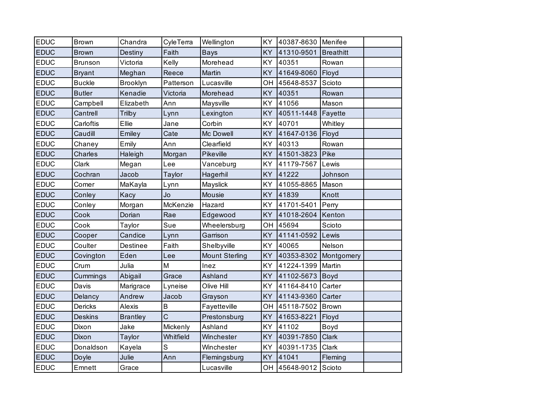| <b>EDUC</b> | Brown          | Chandra         | CyleTerra   | Wellington            | KY        | 40387-8630 | Menifee          |  |
|-------------|----------------|-----------------|-------------|-----------------------|-----------|------------|------------------|--|
| <b>EDUC</b> | <b>Brown</b>   | Destiny         | Faith       | <b>Bays</b>           | KY        | 41310-9501 | <b>Breathitt</b> |  |
| <b>EDUC</b> | <b>Brunson</b> | Victoria        | Kelly       | Morehead              | KY        | 40351      | Rowan            |  |
| <b>EDUC</b> | <b>Bryant</b>  | Meghan          | Reece       | Martin                | KY        | 41649-8060 | Floyd            |  |
| <b>EDUC</b> | <b>Buckle</b>  | <b>Brooklyn</b> | Patterson   | Lucasville            | OH        | 45648-8537 | Scioto           |  |
| <b>EDUC</b> | <b>Butler</b>  | Kenadie         | Victoria    | Morehead              | KY        | 40351      | Rowan            |  |
| <b>EDUC</b> | Campbell       | Elizabeth       | Ann         | Maysville             | KY        | 41056      | Mason            |  |
| <b>EDUC</b> | Cantrell       | Trilby          | Lynn        | Lexington             | KY        | 40511-1448 | Fayette          |  |
| <b>EDUC</b> | Carloftis      | Ellie           | Jane        | Corbin                | KY        | 40701      | Whitley          |  |
| <b>EDUC</b> | Caudill        | Emiley          | Cate        | Mc Dowell             | KY        | 41647-0136 | Floyd            |  |
| <b>EDUC</b> | Chaney         | Emily           | Ann         | Clearfield            | KY        | 40313      | Rowan            |  |
| <b>EDUC</b> | <b>Charles</b> | Haleigh         | Morgan      | Pikeville             | KY        | 41501-3823 | Pike             |  |
| <b>EDUC</b> | Clark          | Megan           | Lee         | Vanceburg             | KY        | 41179-7567 | Lewis            |  |
| <b>EDUC</b> | Cochran        | Jacob           | Taylor      | Hagerhil              | KY        | 41222      | Johnson          |  |
| <b>EDUC</b> | Comer          | MaKayla         | Lynn        | Mayslick              | KY        | 41055-8865 | Mason            |  |
| <b>EDUC</b> | Conley         | Kacy            | Jo          | Mousie                | KY        | 41839      | Knott            |  |
| <b>EDUC</b> | Conley         | Morgan          | McKenzie    | Hazard                | KY        | 41701-5401 | Perry            |  |
| <b>EDUC</b> | Cook           | Dorian          | Rae         | Edgewood              | KY        | 41018-2604 | Kenton           |  |
| <b>EDUC</b> | Cook           | Taylor          | Sue         | Wheelersburg          | OH        | 45694      | Scioto           |  |
| <b>EDUC</b> | Cooper         | Candice         | Lynn        | Garrison              | KY        | 41141-0592 | Lewis            |  |
| <b>EDUC</b> | Coulter        | Destinee        | Faith       | Shelbyville           | KY        | 40065      | Nelson           |  |
| <b>EDUC</b> | Covington      | Eden            | Lee         | <b>Mount Sterling</b> | KY        | 40353-8302 | Montgomery       |  |
| <b>EDUC</b> | Crum           | Julia           | M           | Inez                  | KY        | 41224-1399 | Martin           |  |
| <b>EDUC</b> | Cummings       | Abigail         | Grace       | Ashland               | KY        | 41102-5673 | Boyd             |  |
| <b>EDUC</b> | Davis          | Marigrace       | Lyneise     | Olive Hill            | KY        | 41164-8410 | Carter           |  |
| <b>EDUC</b> | Delancy        | Andrew          | Jacob       | Grayson               | KY        | 41143-9360 | Carter           |  |
| <b>EDUC</b> | <b>Dericks</b> | Alexis          | B           | Fayetteville          | OH        | 45118-7502 | <b>Brown</b>     |  |
| <b>EDUC</b> | <b>Deskins</b> | <b>Brantley</b> | Ć           | Prestonsburg          | KY        | 41653-8221 | Floyd            |  |
| <b>EDUC</b> | Dixon          | Jake            | Mickenly    | Ashland               | KY        | 41102      | Boyd             |  |
| <b>EDUC</b> | Dixon          | Taylor          | Whitfield   | Winchester            | KY        | 40391-7850 | Clark            |  |
| <b>EDUC</b> | Donaldson      | Kayela          | $\mathsf S$ | Winchester            | KY        | 40391-1735 | Clark            |  |
| <b>EDUC</b> | Doyle          | Julie           | Ann         | Flemingsburg          | KY        | 41041      | Fleming          |  |
| <b>EDUC</b> | Emnett         | Grace           |             | Lucasville            | <b>OH</b> | 45648-9012 | Scioto           |  |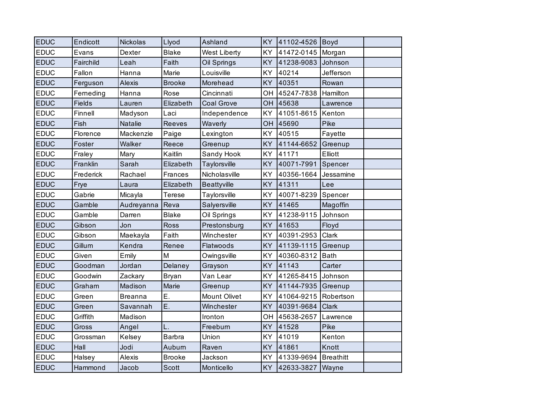| <b>EDUC</b> | Endicott      | Nickolas       | Llyod         | Ashland             | KY        | 41102-4526 Boyd |                  |  |
|-------------|---------------|----------------|---------------|---------------------|-----------|-----------------|------------------|--|
| <b>EDUC</b> | Evans         | Dexter         | <b>Blake</b>  | <b>West Liberty</b> | KY        | 41472-0145      | Morgan           |  |
| <b>EDUC</b> | Fairchild     | Leah           | Faith         | Oil Springs         | <b>KY</b> | 41238-9083      | Johnson          |  |
| <b>EDUC</b> | Fallon        | Hanna          | Marie         | Louisville          | KY        | 40214           | Jefferson        |  |
| <b>EDUC</b> | Ferguson      | <b>Alexis</b>  | <b>Brooke</b> | Morehead            | KY        | 40351           | Rowan            |  |
| <b>EDUC</b> | Ferneding     | Hanna          | Rose          | Cincinnati          | OН        | 45247-7838      | Hamilton         |  |
| <b>EDUC</b> | <b>Fields</b> | Lauren         | Elizabeth     | <b>Coal Grove</b>   | <b>OH</b> | 45638           | Lawrence         |  |
| <b>EDUC</b> | Finnell       | Madyson        | Laci          | Independence        | KY        | 41051-8615      | Kenton           |  |
| <b>EDUC</b> | Fish          | Natalie        | <b>Reeves</b> | Waverly             | OH        | 45690           | Pike             |  |
| <b>EDUC</b> | Florence      | Mackenzie      | Paige         | Lexington           | KY        | 40515           | Fayette          |  |
| <b>EDUC</b> | Foster        | Walker         | Reece         | Greenup             | <b>KY</b> | 41144-6652      | Greenup          |  |
| <b>EDUC</b> | Fraley        | Mary           | Kaitlin       | Sandy Hook          | <b>KY</b> | 41171           | Elliott          |  |
| <b>EDUC</b> | Franklin      | Sarah          | Elizabeth     | Taylorsville        | KY        | 40071-7991      | Spencer          |  |
| <b>EDUC</b> | Frederick     | Rachael        | Frances       | Nicholasville       | KY        | 40356-1664      | Jessamine        |  |
| <b>EDUC</b> | Frye          | Laura          | Elizabeth     | <b>Beattyville</b>  | <b>KY</b> | 41311           | Lee              |  |
| <b>EDUC</b> | Gabrie        | Micayla        | <b>Terese</b> | Taylorsville        | KY        | 40071-8239      | Spencer          |  |
| <b>EDUC</b> | Gamble        | Audreyanna     | Reva          | Salyersville        | KY        | 41465           | Magoffin         |  |
| <b>EDUC</b> | Gamble        | Darren         | <b>Blake</b>  | Oil Springs         | KY        | 41238-9115      | Johnson          |  |
| <b>EDUC</b> | Gibson        | Jon            | <b>Ross</b>   | Prestonsburg        | <b>KY</b> | 41653           | Floyd            |  |
| <b>EDUC</b> | Gibson        | Maekayla       | Faith         | Winchester          | KY        | 40391-2953      | Clark            |  |
| <b>EDUC</b> | Gillum        | Kendra         | Renee         | Flatwoods           | <b>KY</b> | 41139-1115      | Greenup          |  |
| <b>EDUC</b> | Given         | Emily          | M             | Owingsville         | KY        | 40360-8312      | <b>Bath</b>      |  |
| <b>EDUC</b> | Goodman       | Jordan         | Delaney       | Grayson             | <b>KY</b> | 41143           | Carter           |  |
| <b>EDUC</b> | Goodwin       | Zackary        | Bryan         | Van Lear            | KY        | 41265-8415      | Johnson          |  |
| <b>EDUC</b> | Graham        | Madison        | Marie         | Greenup             | KY        | 41144-7935      | Greenup          |  |
| <b>EDUC</b> | Green         | <b>Breanna</b> | E.            | <b>Mount Olivet</b> | KY        | 41064-9215      | Robertson        |  |
| <b>EDUC</b> | Green         | Savannah       | E.            | Winchester          | KY        | 40391-9684      | Clark            |  |
| <b>EDUC</b> | Griffith      | Madison        |               | Ironton             | OH        | 45638-2657      | Lawrence         |  |
| <b>EDUC</b> | Gross         | Angel          | L.            | Freeburn            | KY        | 41528           | Pike             |  |
| <b>EDUC</b> | Grossman      | Kelsey         | <b>Barbra</b> | Union               | KY        | 41019           | Kenton           |  |
| <b>EDUC</b> | Hall          | Jodi           | Auburn        | Raven               | KY        | 41861           | Knott            |  |
| <b>EDUC</b> | Halsey        | Alexis         | <b>Brooke</b> | Jackson             | KY        | 41339-9694      | <b>Breathitt</b> |  |
| <b>EDUC</b> | Hammond       | Jacob          | <b>Scott</b>  | Monticello          | <b>KY</b> | 42633-3827      | Wayne            |  |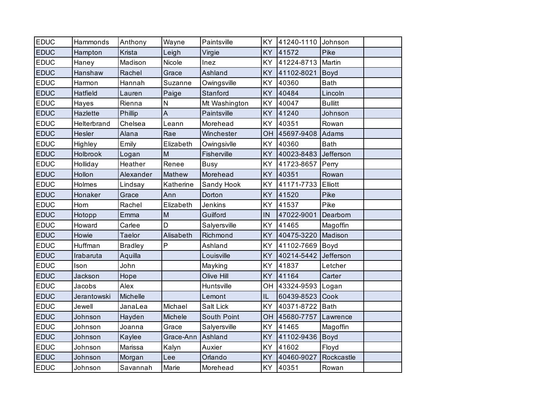| <b>EDUC</b> | Hammonds    | Anthony        | Wayne     | Paintsville   | KY        | 41240-1110 | Johnson        |  |
|-------------|-------------|----------------|-----------|---------------|-----------|------------|----------------|--|
| <b>EDUC</b> | Hampton     | Krista         | Leigh     | Virgie        | <b>KY</b> | 41572      | Pike           |  |
| <b>EDUC</b> | Haney       | Madison        | Nicole    | Inez          | KY        | 41224-8713 | Martin         |  |
| <b>EDUC</b> | Hanshaw     | Rachel         | Grace     | Ashland       | KY        | 41102-8021 | Boyd           |  |
| <b>EDUC</b> | Harmon      | Hannah         | Suzanne   | Owingsville   | KY        | 40360      | <b>Bath</b>    |  |
| <b>EDUC</b> | Hatfield    | Lauren         | Paige     | Stanford      | KY        | 40484      | Lincoln        |  |
| <b>EDUC</b> | Hayes       | Rienna         | N         | Mt Washington | KY        | 40047      | <b>Bullitt</b> |  |
| <b>EDUC</b> | Hazlette    | Phillip        | A         | Paintsville   | <b>KY</b> | 41240      | Johnson        |  |
| <b>EDUC</b> | Helterbrand | Chelsea        | Leann     | Morehead      | KY        | 40351      | Rowan          |  |
| <b>EDUC</b> | Hesler      | Alana          | Rae       | Winchester    | <b>OH</b> | 45697-9408 | Adams          |  |
| <b>EDUC</b> | Highley     | Emily          | Elizabeth | Owingsivlle   | KY        | 40360      | <b>Bath</b>    |  |
| <b>EDUC</b> | Holbrook    | Logan          | M         | Fisherville   | KY        | 40023-8483 | Jefferson      |  |
| <b>EDUC</b> | Holliday    | Heather        | Renee     | <b>Busy</b>   | KY        | 41723-8657 | Perry          |  |
| <b>EDUC</b> | Hollon      | Alexander      | Mathew    | Morehead      | KY        | 40351      | Rowan          |  |
| <b>EDUC</b> | Holmes      | Lindsay        | Katherine | Sandy Hook    | <b>KY</b> | 41171-7733 | Elliott        |  |
| <b>EDUC</b> | Honaker     | Grace          | Ann       | Dorton        | KY        | 41520      | Pike           |  |
| <b>EDUC</b> | Horn        | Rachel         | Elizabeth | Jenkins       | KY        | 41537      | Pike           |  |
| <b>EDUC</b> | Hotopp      | Emma           | M         | Guilford      | IN        | 47022-9001 | Dearborn       |  |
| <b>EDUC</b> | Howard      | Carlee         | D         | Salyersville  | KY        | 41465      | Magoffin       |  |
| <b>EDUC</b> | Howie       | <b>Taelor</b>  | Alisabeth | Richmond      | KY        | 40475-3220 | Madison        |  |
| <b>EDUC</b> | Huffman     | <b>Bradley</b> | P         | Ashland       | KY.       | 41102-7669 | Boyd           |  |
| <b>EDUC</b> | Irabaruta   | Aquilla        |           | Louisville    | KY        | 40214-5442 | Jefferson      |  |
| <b>EDUC</b> | Ison        | John           |           | Mayking       | KY        | 41837      | Letcher        |  |
| <b>EDUC</b> | Jackson     | Hope           |           | Olive Hill    | KY        | 41164      | Carter         |  |
| <b>EDUC</b> | Jacobs      | Alex           |           | Huntsville    | OН        | 43324-9593 | Logan          |  |
| <b>EDUC</b> | Jerantowski | Michelle       |           | Lemont        | IL        | 60439-8523 | Cook           |  |
| <b>EDUC</b> | Jewell      | JanaLea        | Michael   | Salt Lick     | KY        | 40371-8722 | <b>Bath</b>    |  |
| <b>EDUC</b> | Johnson     | Hayden         | Michele   | South Point   | OH        | 45680-7757 | Lawrence       |  |
| <b>EDUC</b> | Johnson     | Joanna         | Grace     | Salyersville  | KY        | 41465      | Magoffin       |  |
| <b>EDUC</b> | Johnson     | Kaylee         | Grace-Ann | Ashland       | KY        | 41102-9436 | Boyd           |  |
| <b>EDUC</b> | Johnson     | Marissa        | Kalyn     | Auxier        | KY        | 41602      | Floyd          |  |
| <b>EDUC</b> | Johnson     | Morgan         | Lee       | Orlando       | KY        | 40460-9027 | Rockcastle     |  |
| <b>EDUC</b> | Johnson     | Savannah       | Marie     | Morehead      | KY        | 40351      | Rowan          |  |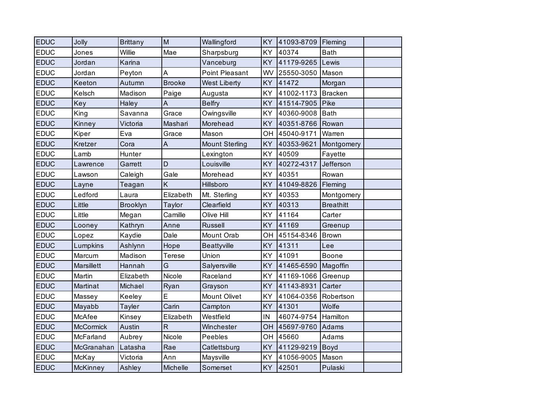| <b>EDUC</b> | Jolly           | <b>Brittany</b> | M             | Wallingford           | KY        | 41093-8709 | Fleming          |  |
|-------------|-----------------|-----------------|---------------|-----------------------|-----------|------------|------------------|--|
| <b>EDUC</b> | Jones           | Willie          | Mae           | Sharpsburg            | KY        | 40374      | <b>Bath</b>      |  |
| <b>EDUC</b> | Jordan          | Karina          |               | Vanceburg             | <b>KY</b> | 41179-9265 | Lewis            |  |
| <b>EDUC</b> | Jordan          | Peyton          | A             | <b>Point Pleasant</b> | WV        | 25550-3050 | Mason            |  |
| <b>EDUC</b> | Keeton          | Autumn          | <b>Brooke</b> | <b>West Liberty</b>   | KY        | 41472      | Morgan           |  |
| <b>EDUC</b> | Kelsch          | Madison         | Paige         | Augusta               | KY        | 41002-1173 | <b>Bracken</b>   |  |
| <b>EDUC</b> | Key             | Haley           | A             | <b>Belfry</b>         | <b>KY</b> | 41514-7905 | Pike             |  |
| <b>EDUC</b> | King            | Savanna         | Grace         | Owingsville           | KY        | 40360-9008 | <b>Bath</b>      |  |
| <b>EDUC</b> | Kinney          | Victoria        | Mashari       | Morehead              | <b>KY</b> | 40351-8766 | Rowan            |  |
| <b>EDUC</b> | Kiper           | Eva             | Grace         | Mason                 | OН        | 45040-9171 | Warren           |  |
| <b>EDUC</b> | Kretzer         | Cora            | A             | <b>Mount Sterling</b> | KY        | 40353-9621 | Montgomery       |  |
| <b>EDUC</b> | Lamb            | Hunter          |               | Lexington             | KY        | 40509      | Fayette          |  |
| <b>EDUC</b> | Lawrence        | Garrett         | D             | Louisville            | KY        | 40272-4317 | Jefferson        |  |
| <b>EDUC</b> | Lawson          | Caleigh         | Gale          | Morehead              | KY        | 40351      | Rowan            |  |
| <b>EDUC</b> | Layne           | Teagan          | K             | Hillsboro             | KY        | 41049-8826 | Fleming          |  |
| <b>EDUC</b> | Ledford         | Laura           | Elizabeth     | Mt. Sterling          | KY        | 40353      | Montgomery       |  |
| <b>EDUC</b> | Little          | <b>Brooklyn</b> | Taylor        | Clearfield            | KY        | 40313      | <b>Breathitt</b> |  |
| <b>EDUC</b> | Little          | Megan           | Camille       | Olive Hill            | KY        | 41164      | Carter           |  |
| <b>EDUC</b> | Looney          | Kathryn         | Anne          | <b>Russell</b>        | KY        | 41169      | Greenup          |  |
| <b>EDUC</b> | Lopez           | Kaydie          | Dale          | Mount Orab            | OН        | 45154-8346 | <b>Brown</b>     |  |
| <b>EDUC</b> | Lumpkins        | Ashlynn         | Hope          | Beattyville           | <b>KY</b> | 41311      | Lee              |  |
| <b>EDUC</b> | Marcum          | Madison         | <b>Terese</b> | Union                 | KY        | 41091      | Boone            |  |
| <b>EDUC</b> | Marsillett      | Hannah          | G             | Salyersville          | <b>KY</b> | 41465-6590 | Magoffin         |  |
| <b>EDUC</b> | Martin          | Elizabeth       | Nicole        | Raceland              | KY        | 41169-1066 | Greenup          |  |
| <b>EDUC</b> | Martinat        | Michael         | Ryan          | Grayson               | KY        | 41143-8931 | Carter           |  |
| <b>EDUC</b> | Massey          | Keeley          | E             | <b>Mount Olivet</b>   | KY        | 41064-0356 | Robertson        |  |
| <b>EDUC</b> | Mayabb          | <b>Tayler</b>   | Carin         | Campton               | KY        | 41301      | Wolfe            |  |
| <b>EDUC</b> | McAfee          | Kinsey          | Elizabeth     | Westfield             | ΙN        | 46074-9754 | Hamilton         |  |
| <b>EDUC</b> | McCormick       | Austin          | $\mathsf{R}$  | Winchester            | OH        | 45697-9760 | Adams            |  |
| <b>EDUC</b> | McFarland       | Aubrey          | Nicole        | Peebles               | OН        | 45660      | Adams            |  |
| <b>EDUC</b> | McGranahan      | Latasha         | Rae           | Catlettsburg          | KY        | 41129-9219 | Boyd             |  |
| <b>EDUC</b> | McKay           | Victoria        | Ann           | Maysville             | KY        | 41056-9005 | Mason            |  |
| <b>EDUC</b> | <b>McKinney</b> | Ashley          | Michelle      | Somerset              | <b>KY</b> | 42501      | Pulaski          |  |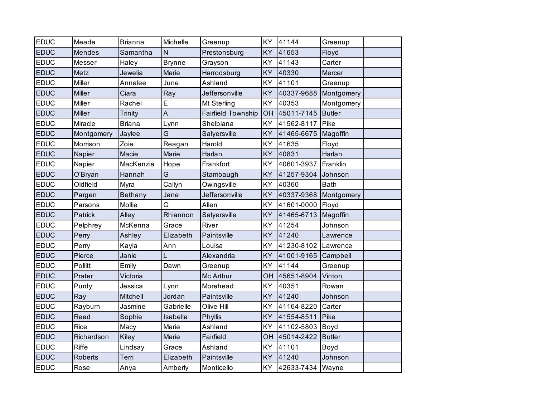| EDUC        | Meade        | <b>Brianna</b> | Michelle      | Greenup            | KY        | 41144      | Greenup       |  |
|-------------|--------------|----------------|---------------|--------------------|-----------|------------|---------------|--|
| <b>EDUC</b> | Mendes       | Samantha       | N             | Prestonsburg       | KY        | 41653      | Floyd         |  |
| <b>EDUC</b> | Messer       | Haley          | <b>Brynne</b> | Grayson            | KY        | 41143      | Carter        |  |
| <b>EDUC</b> | Metz         | Jewelia        | Marie         | Harrodsburg        | KY        | 40330      | Mercer        |  |
| <b>EDUC</b> | Miller       | Annalee        | June          | Ashland            | KY        | 41101      | Greenup       |  |
| <b>EDUC</b> | Miller       | Ciara          | Ray           | Jeffersonville     | KY        | 40337-9688 | Montgomery    |  |
| <b>EDUC</b> | Miller       | Rachel         | E             | Mt Sterling        | KY        | 40353      | Montgomery    |  |
| <b>EDUC</b> | Miller       | Trinity        | A             | Fairfield Township | OH        | 45011-7145 | <b>Butler</b> |  |
| <b>EDUC</b> | Miracle      | <b>Briana</b>  | Lynn          | Shelbiana          | KY        | 41562-8117 | Pike          |  |
| <b>EDUC</b> | Montgomery   | Jaylee         | G             | Salyersville       | KY        | 41465-6675 | Magoffin      |  |
| <b>EDUC</b> | Morrison     | Zoie           | Reagan        | Harold             | KY        | 41635      | Floyd         |  |
| <b>EDUC</b> | Napier       | Macie          | Marie         | Harlan             | KY        | 40831      | Harlan        |  |
| <b>EDUC</b> | Napier       | MacKenzie      | Hope          | Frankfort          | KY        | 40601-3937 | Franklin      |  |
| <b>EDUC</b> | O'Bryan      | Hannah         | Ġ             | Stambaugh          | KY        | 41257-9304 | Johnson       |  |
| <b>EDUC</b> | Oldfield     | Myra           | Cailyn        | Owingsville        | KY        | 40360      | <b>Bath</b>   |  |
| <b>EDUC</b> | Pargen       | <b>Bethany</b> | Jane          | Jeffersonville     | KY        | 40337-9368 | Montgomery    |  |
| <b>EDUC</b> | Parsons      | Mollie         | G             | Allen              | KY        | 41601-0000 | Floyd         |  |
| <b>EDUC</b> | Patrick      | Alley          | Rhiannon      | Salyersville       | KY        | 41465-6713 | Magoffin      |  |
| <b>EDUC</b> | Pelphrey     | McKenna        | Grace         | River              | KY        | 41254      | Johnson       |  |
| <b>EDUC</b> | Perry        | Ashley         | Elizabeth     | Paintsville        | KY        | 41240      | Lawrence      |  |
| <b>EDUC</b> | Perry        | Kayla          | Ann           | Louisa             | KY        | 41230-8102 | Lawrence      |  |
| <b>EDUC</b> | Pierce       | Janie          |               | Alexandria         | KY        | 41001-9165 | Campbell      |  |
| <b>EDUC</b> | Pollitt      | Emily          | Dawn          | Greenup            | KY        | 41144      | Greenup       |  |
| <b>EDUC</b> | Prater       | Victoria       |               | Mc Arthur          | OH        | 45651-8904 | Vinton        |  |
| <b>EDUC</b> | Purdy        | Jessica        | Lynn          | Morehead           | KY        | 40351      | Rowan         |  |
| <b>EDUC</b> | Ray          | Mitchell       | Jordan        | Paintsville        | KY        | 41240      | Johnson       |  |
| <b>EDUC</b> | Rayburn      | Jasmine        | Gabrielle     | Olive Hill         | KY        | 41164-8220 | Carter        |  |
| <b>EDUC</b> | Read         | Sophie         | Isabella      | Phyllis            | KY        | 41554-8511 | Pike          |  |
| <b>EDUC</b> | <b>Rice</b>  | Macy           | Marie         | Ashland            | KY        | 41102-5803 | Boyd          |  |
| <b>EDUC</b> | Richardson   | Kiley          | Marie         | Fairfield          | OH        | 45014-2422 | <b>Butler</b> |  |
| <b>EDUC</b> | <b>Riffe</b> | Lindsay        | Grace         | Ashland            | KY        | 41101      | Boyd          |  |
| <b>EDUC</b> | Roberts      | Terri          | Elizabeth     | Paintsville        | KY        | 41240      | Johnson       |  |
| <b>EDUC</b> | Rose         | Anya           | Amberly       | Monticello         | <b>KY</b> | 42633-7434 | Wayne         |  |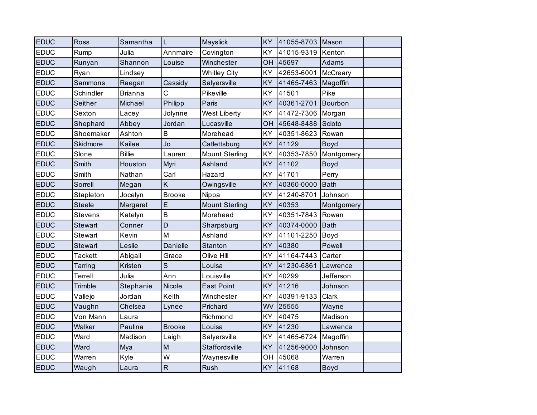| <b>EDUC</b> | Ross           | Samantha       | L                       | Mayslick              | KY        | 41055-8703 | Mason       |  |
|-------------|----------------|----------------|-------------------------|-----------------------|-----------|------------|-------------|--|
| <b>EDUC</b> | Rump           | Julia          | Annmaire                | Covington             | KY        | 41015-9319 | Kenton      |  |
| <b>EDUC</b> | Runyan         | Shannon        | Louise                  | Winchester            | OH        | 45697      | Adams       |  |
| <b>EDUC</b> | Ryan           | Lindsey        |                         | <b>Whitley City</b>   | KY        | 42653-6001 | McCreary    |  |
| <b>EDUC</b> | Sammons        | Raegan         | Cassidy                 | Salyersville          | KY        | 41465-7463 | Magoffin    |  |
| <b>EDUC</b> | Schindler      | <b>Brianna</b> | C                       | Pikeville             | <b>KY</b> | 41501      | Pike        |  |
| <b>EDUC</b> | Seither        | Michael        | Philipp                 | Paris                 | KY        | 40361-2701 | Bourbon     |  |
| <b>EDUC</b> | Sexton         | Lacey          | Jolynne                 | West Liberty          | KY        | 41472-7306 | Morgan      |  |
| <b>EDUC</b> | Shephard       | Abbey          | Jordan                  | Lucasville            | OH        | 45648-8488 | Scioto      |  |
| <b>EDUC</b> | Shoemaker      | Ashton         | B                       | Morehead              | KY        | 40351-8623 | Rowan       |  |
| <b>EDUC</b> | Skidmore       | Kailee         | Jo                      | Catlettsburg          | KY        | 41129      | Boyd        |  |
| <b>EDUC</b> | Slone          | <b>Billie</b>  | Lauren                  | <b>Mount Sterling</b> | KY        | 40353-7850 | Montgomery  |  |
| <b>EDUC</b> | Smith          | Houston        | Myri                    | Ashland               | KY        | 41102      | <b>Boyd</b> |  |
| <b>EDUC</b> | Smith          | Nathan         | Carl                    | Hazard                | KY        | 41701      | Perry       |  |
| <b>EDUC</b> | Sorrell        | Megan          | K                       | Owingsville           | <b>KY</b> | 40360-0000 | <b>Bath</b> |  |
| <b>EDUC</b> | Stapleton      | Jocelyn        | <b>Brooke</b>           | Nippa                 | KY        | 41240-8701 | Johnson     |  |
| <b>EDUC</b> | <b>Steele</b>  | Margaret       | E                       | <b>Mount Sterling</b> | <b>KY</b> | 40353      | Montgomery  |  |
| <b>EDUC</b> | Stevens        | Katelyn        | $\sf B$                 | Morehead              | KY        | 40351-7843 | Rowan       |  |
| <b>EDUC</b> | <b>Stewart</b> | Conner         | D                       | Sharpsburg            | KY        | 40374-0000 | <b>Bath</b> |  |
| <b>EDUC</b> | Stewart        | Kevin          | M                       | Ashland               | KY        | 41101-2250 | Boyd        |  |
| <b>EDUC</b> | Stewart        | Leslie         | Danielle                | <b>Stanton</b>        | KY        | 40380      | Powell      |  |
| <b>EDUC</b> | <b>Tackett</b> | Abigail        | Grace                   | Olive Hill            | KY        | 41164-7443 | Carter      |  |
| <b>EDUC</b> | Tarring        | Kristen        | $\mathsf{S}$            | Louisa                | KY        | 41230-6861 | Lawrence    |  |
| <b>EDUC</b> | Terrell        | Julia          | Ann                     | Louisville            | KY        | 40299      | Jefferson   |  |
| <b>EDUC</b> | Trimble        | Stephanie      | Nicole                  | <b>East Point</b>     | KY        | 41216      | Johnson     |  |
| <b>EDUC</b> | Vallejo        | Jordan         | Keith                   | Winchester            | KY        | 40391-9133 | Clark       |  |
| <b>EDUC</b> | Vaughn         | Chelsea        | Lynee                   | Prichard              | WV        | 25555      | Wayne       |  |
| <b>EDUC</b> | Von Mann       | Laura          |                         | Richmond              | KY        | 40475      | Madison     |  |
| <b>EDUC</b> | Walker         | Paulina        | <b>Brooke</b>           | Louisa                | <b>KY</b> | 41230      | Lawrence    |  |
| <b>EDUC</b> | Ward           | Madison        | Laigh                   | Salyersville          | KY        | 41465-6724 | Magoffin    |  |
| <b>EDUC</b> | Ward           | Mya            | M                       | Staffordsville        | KY        | 41256-9000 | Johnson     |  |
| <b>EDUC</b> | Warren         | Kyle           | W                       | Waynesville           | OН        | 45068      | Warren      |  |
| <b>EDUC</b> | Waugh          | Laura          | $\overline{\mathsf{R}}$ | Rush                  | KY        | 41168      | <b>Boyd</b> |  |